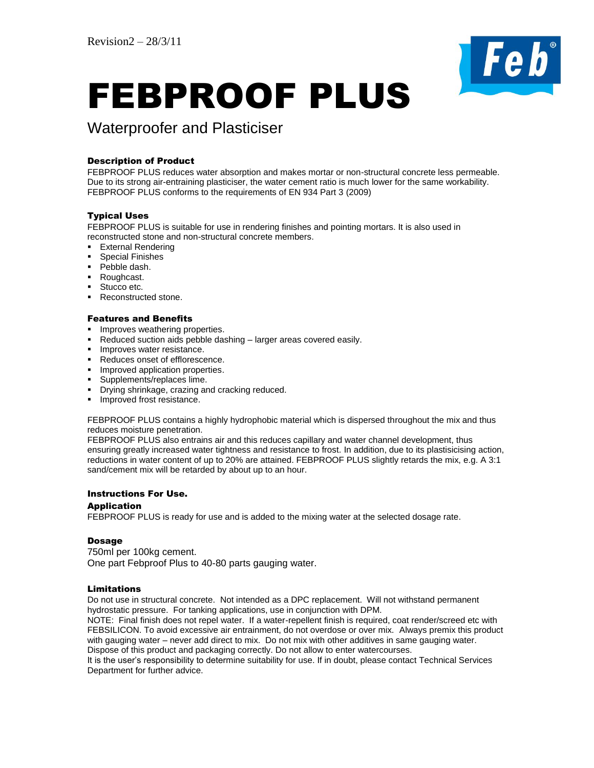

# FEBPROOF PLUS

# Waterproofer and Plasticiser

# Description of Product

FEBPROOF PLUS reduces water absorption and makes mortar or non-structural concrete less permeable. Due to its strong air-entraining plasticiser, the water cement ratio is much lower for the same workability. FEBPROOF PLUS conforms to the requirements of EN 934 Part 3 (2009)

# Typical Uses

FEBPROOF PLUS is suitable for use in rendering finishes and pointing mortars. It is also used in reconstructed stone and non-structural concrete members.

- **External Rendering**
- **Special Finishes**
- Pebble dash.
- Roughcast.
- Stucco etc.
- Reconstructed stone.

#### Features and Benefits

- **Improves weathering properties.**
- Reduced suction aids pebble dashing larger areas covered easily.
- **Improves water resistance.**
- Reduces onset of efflorescence.
- **Improved application properties.**
- **Supplements/replaces lime.**
- **•** Drying shrinkage, crazing and cracking reduced.
- **Improved frost resistance.**

FEBPROOF PLUS contains a highly hydrophobic material which is dispersed throughout the mix and thus reduces moisture penetration.

FEBPROOF PLUS also entrains air and this reduces capillary and water channel development, thus ensuring greatly increased water tightness and resistance to frost. In addition, due to its plastisicising action, reductions in water content of up to 20% are attained. FEBPROOF PLUS slightly retards the mix, e.g. A 3:1 sand/cement mix will be retarded by about up to an hour.

# Instructions For Use.

#### Application

FEBPROOF PLUS is ready for use and is added to the mixing water at the selected dosage rate.

# Dosage

750ml per 100kg cement. One part Febproof Plus to 40-80 parts gauging water.

# Limitations

Do not use in structural concrete. Not intended as a DPC replacement. Will not withstand permanent hydrostatic pressure. For tanking applications, use in conjunction with DPM.

NOTE: Final finish does not repel water. If a water-repellent finish is required, coat render/screed etc with FEBSILICON. To avoid excessive air entrainment, do not overdose or over mix. Always premix this product with gauging water – never add direct to mix. Do not mix with other additives in same gauging water. Dispose of this product and packaging correctly. Do not allow to enter watercourses.

It is the user's responsibility to determine suitability for use. If in doubt, please contact Technical Services Department for further advice.